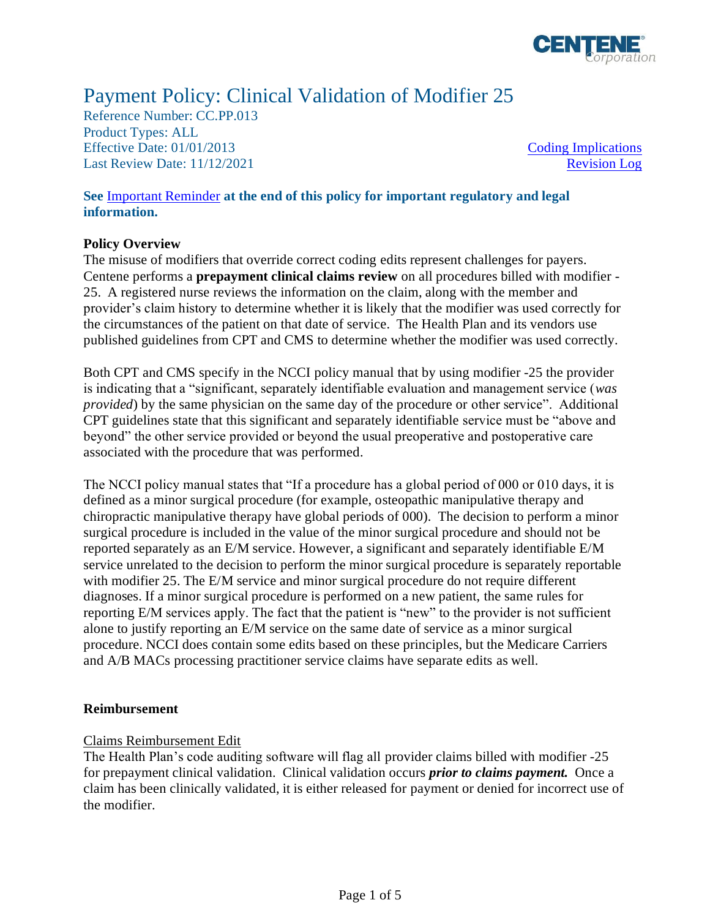

# Payment Policy: Clinical Validation of Modifier 25

Reference Number: CC.PP.013 Product Types: ALL Effective Date:  $01/01/2013$  [Coding Implications](#page-1-0) Last Review Date: 11/12/2021 [Revision Log](#page-2-0)

**See** [Important Reminder](#page-2-1) **at the end of this policy for important regulatory and legal information.**

#### **Policy Overview**

The misuse of modifiers that override correct coding edits represent challenges for payers. Centene performs a **prepayment clinical claims review** on all procedures billed with modifier - 25. A registered nurse reviews the information on the claim, along with the member and provider's claim history to determine whether it is likely that the modifier was used correctly for the circumstances of the patient on that date of service. The Health Plan and its vendors use published guidelines from CPT and CMS to determine whether the modifier was used correctly.

Both CPT and CMS specify in the NCCI policy manual that by using modifier -25 the provider is indicating that a "significant, separately identifiable evaluation and management service (*was provided*) by the same physician on the same day of the procedure or other service". Additional CPT guidelines state that this significant and separately identifiable service must be "above and beyond" the other service provided or beyond the usual preoperative and postoperative care associated with the procedure that was performed.

The NCCI policy manual states that "If a procedure has a global period of 000 or 010 days, it is defined as a minor surgical procedure (for example, osteopathic manipulative therapy and chiropractic manipulative therapy have global periods of 000).The decision to perform a minor surgical procedure is included in the value of the minor surgical procedure and should not be reported separately as an E/M service. However, a significant and separately identifiable E/M service unrelated to the decision to perform the minor surgical procedure is separately reportable with modifier 25. The E/M service and minor surgical procedure do not require different diagnoses. If a minor surgical procedure is performed on a new patient, the same rules for reporting E/M services apply. The fact that the patient is "new" to the provider is not sufficient alone to justify reporting an E/M service on the same date of service as a minor surgical procedure. NCCI does contain some edits based on these principles, but the Medicare Carriers and A/B MACs processing practitioner service claims have separate edits as well.

#### **Reimbursement**

#### Claims Reimbursement Edit

The Health Plan's code auditing software will flag all provider claims billed with modifier -25 for prepayment clinical validation. Clinical validation occurs *prior to claims payment.* Once a claim has been clinically validated, it is either released for payment or denied for incorrect use of the modifier.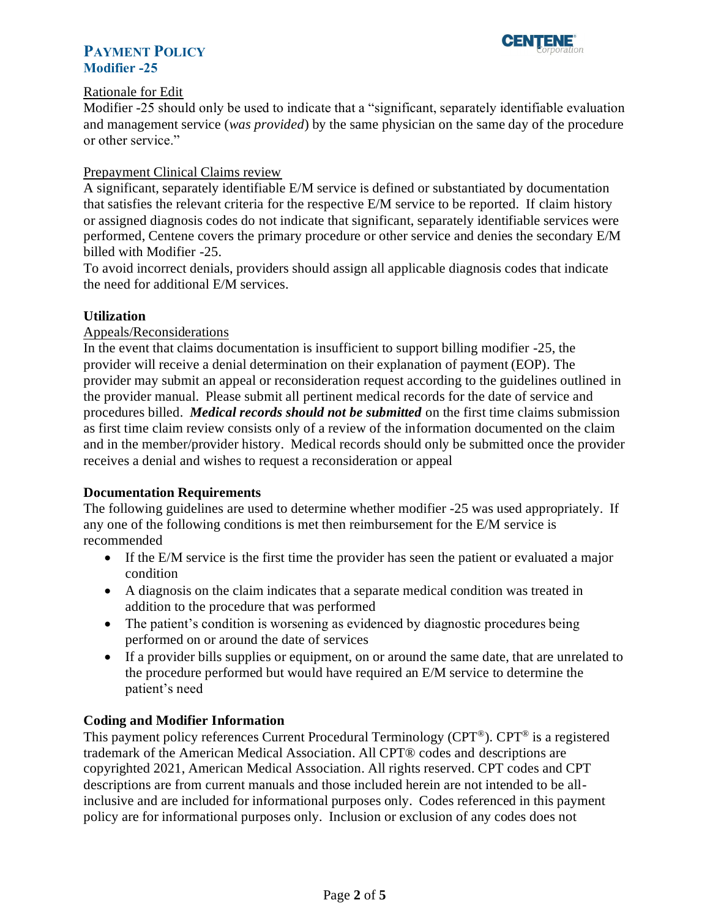



#### Rationale for Edit

Modifier -25 should only be used to indicate that a "significant, separately identifiable evaluation and management service (*was provided*) by the same physician on the same day of the procedure or other service."

#### Prepayment Clinical Claims review

A significant, separately identifiable E/M service is defined or substantiated by documentation that satisfies the relevant criteria for the respective E/M service to be reported. If claim history or assigned diagnosis codes do not indicate that significant, separately identifiable services were performed, Centene covers the primary procedure or other service and denies the secondary E/M billed with Modifier -25.

To avoid incorrect denials, providers should assign all applicable diagnosis codes that indicate the need for additional E/M services.

#### **Utilization**

## Appeals/Reconsiderations

In the event that claims documentation is insufficient to support billing modifier -25, the provider will receive a denial determination on their explanation of payment (EOP). The provider may submit an appeal or reconsideration request according to the guidelines outlined in the provider manual. Please submit all pertinent medical records for the date of service and procedures billed. *Medical records should not be submitted* on the first time claims submission as first time claim review consists only of a review of the information documented on the claim and in the member/provider history. Medical records should only be submitted once the provider receives a denial and wishes to request a reconsideration or appeal

#### **Documentation Requirements**

The following guidelines are used to determine whether modifier -25 was used appropriately. If any one of the following conditions is met then reimbursement for the E/M service is recommended

- If the E/M service is the first time the provider has seen the patient or evaluated a major condition
- A diagnosis on the claim indicates that a separate medical condition was treated in addition to the procedure that was performed
- The patient's condition is worsening as evidenced by diagnostic procedures being performed on or around the date of services
- If a provider bills supplies or equipment, on or around the same date, that are unrelated to the procedure performed but would have required an E/M service to determine the patient's need

#### <span id="page-1-0"></span>**Coding and Modifier Information**

This payment policy references Current Procedural Terminology (CPT®). CPT® is a registered trademark of the American Medical Association. All CPT® codes and descriptions are copyrighted 2021, American Medical Association. All rights reserved. CPT codes and CPT descriptions are from current manuals and those included herein are not intended to be allinclusive and are included for informational purposes only. Codes referenced in this payment policy are for informational purposes only. Inclusion or exclusion of any codes does not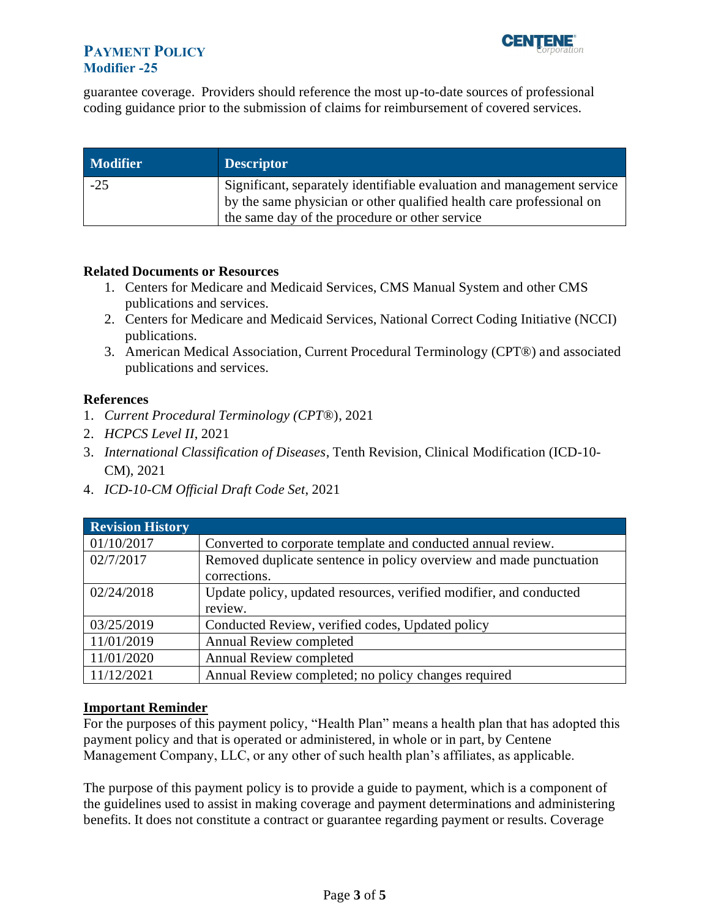# **PAYMENT POLICY Modifier -25**



guarantee coverage. Providers should reference the most up-to-date sources of professional coding guidance prior to the submission of claims for reimbursement of covered services.

| <b>Modifier</b> | <b>Descriptor</b>                                                                                                                              |
|-----------------|------------------------------------------------------------------------------------------------------------------------------------------------|
| $-25$           | Significant, separately identifiable evaluation and management service<br>by the same physician or other qualified health care professional on |
|                 | the same day of the procedure or other service                                                                                                 |

#### **Related Documents or Resources**

- 1. Centers for Medicare and Medicaid Services, CMS Manual System and other CMS publications and services.
- 2. Centers for Medicare and Medicaid Services, National Correct Coding Initiative (NCCI) publications.
- 3. American Medical Association, Current Procedural Terminology (CPT®) and associated publications and services.

## **References**

- 1. *Current Procedural Terminology (CPT*®), 2021
- 2. *HCPCS Level II*, 2021
- 3. *International Classification of Diseases*, Tenth Revision, Clinical Modification (ICD-10- CM), 2021
- 4. *ICD-10-CM Official Draft Code Set*, 2021

<span id="page-2-0"></span>

| <b>Revision History</b> |                                                                    |
|-------------------------|--------------------------------------------------------------------|
| 01/10/2017              | Converted to corporate template and conducted annual review.       |
| 02/7/2017               | Removed duplicate sentence in policy overview and made punctuation |
|                         | corrections.                                                       |
| 02/24/2018              | Update policy, updated resources, verified modifier, and conducted |
|                         | review.                                                            |
| 03/25/2019              | Conducted Review, verified codes, Updated policy                   |
| 11/01/2019              | Annual Review completed                                            |
| 11/01/2020              | <b>Annual Review completed</b>                                     |
| 11/12/2021              | Annual Review completed; no policy changes required                |

#### <span id="page-2-1"></span>**Important Reminder**

For the purposes of this payment policy, "Health Plan" means a health plan that has adopted this payment policy and that is operated or administered, in whole or in part, by Centene Management Company, LLC, or any other of such health plan's affiliates, as applicable.

The purpose of this payment policy is to provide a guide to payment, which is a component of the guidelines used to assist in making coverage and payment determinations and administering benefits. It does not constitute a contract or guarantee regarding payment or results. Coverage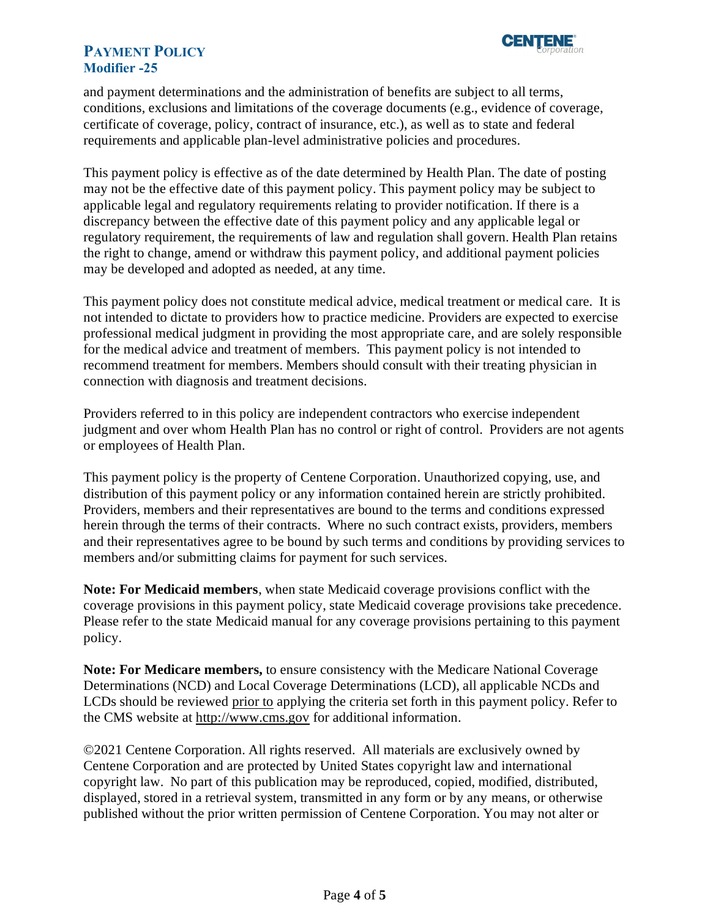

## **PAYMENT POLICY Modifier -25**

and payment determinations and the administration of benefits are subject to all terms, conditions, exclusions and limitations of the coverage documents (e.g., evidence of coverage, certificate of coverage, policy, contract of insurance, etc.), as well as to state and federal requirements and applicable plan-level administrative policies and procedures.

This payment policy is effective as of the date determined by Health Plan. The date of posting may not be the effective date of this payment policy. This payment policy may be subject to applicable legal and regulatory requirements relating to provider notification. If there is a discrepancy between the effective date of this payment policy and any applicable legal or regulatory requirement, the requirements of law and regulation shall govern. Health Plan retains the right to change, amend or withdraw this payment policy, and additional payment policies may be developed and adopted as needed, at any time.

This payment policy does not constitute medical advice, medical treatment or medical care. It is not intended to dictate to providers how to practice medicine. Providers are expected to exercise professional medical judgment in providing the most appropriate care, and are solely responsible for the medical advice and treatment of members. This payment policy is not intended to recommend treatment for members. Members should consult with their treating physician in connection with diagnosis and treatment decisions.

Providers referred to in this policy are independent contractors who exercise independent judgment and over whom Health Plan has no control or right of control. Providers are not agents or employees of Health Plan.

This payment policy is the property of Centene Corporation. Unauthorized copying, use, and distribution of this payment policy or any information contained herein are strictly prohibited. Providers, members and their representatives are bound to the terms and conditions expressed herein through the terms of their contracts. Where no such contract exists, providers, members and their representatives agree to be bound by such terms and conditions by providing services to members and/or submitting claims for payment for such services.

**Note: For Medicaid members**, when state Medicaid coverage provisions conflict with the coverage provisions in this payment policy, state Medicaid coverage provisions take precedence. Please refer to the state Medicaid manual for any coverage provisions pertaining to this payment policy.

**Note: For Medicare members,** to ensure consistency with the Medicare National Coverage Determinations (NCD) and Local Coverage Determinations (LCD), all applicable NCDs and LCDs should be reviewed prior to applying the criteria set forth in this payment policy. Refer to the CMS website at [http://www.cms.gov](http://www.cms.gov/) for additional information.

©2021 Centene Corporation. All rights reserved. All materials are exclusively owned by Centene Corporation and are protected by United States copyright law and international copyright law. No part of this publication may be reproduced, copied, modified, distributed, displayed, stored in a retrieval system, transmitted in any form or by any means, or otherwise published without the prior written permission of Centene Corporation. You may not alter or